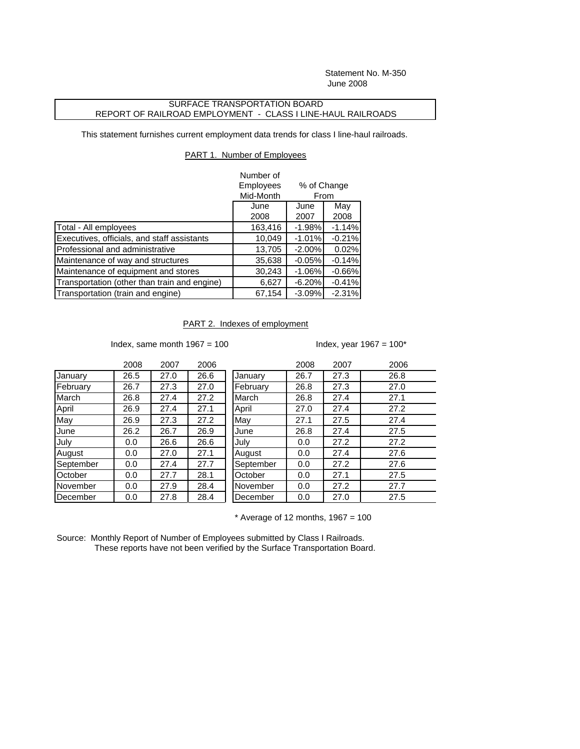Statement No. M-350 June 2008

## SURFACE TRANSPORTATION BOARD REPORT OF RAILROAD EMPLOYMENT - CLASS I LINE-HAUL RAILROADS

This statement furnishes current employment data trends for class I line-haul railroads.

## PART 1. Number of Employees

|                                              | Number of<br>Employees | % of Change<br>From |          |  |
|----------------------------------------------|------------------------|---------------------|----------|--|
|                                              | Mid-Month              |                     |          |  |
|                                              | June                   | June                | May      |  |
|                                              | 2008                   | 2007                | 2008     |  |
| Total - All employees                        | 163,416                | $-1.98%$            | $-1.14%$ |  |
| Executives, officials, and staff assistants  | 10,049                 | $-1.01%$            | $-0.21%$ |  |
| Professional and administrative              | 13,705                 | $-2.00\%$           | 0.02%    |  |
| Maintenance of way and structures            | 35,638                 | $-0.05%$            | $-0.14%$ |  |
| Maintenance of equipment and stores          | 30,243                 | $-1.06%$            | $-0.66%$ |  |
| Transportation (other than train and engine) | 6,627                  | $-6.20%$            | $-0.41%$ |  |
| Transportation (train and engine)            | 67,154                 | $-3.09%$            | $-2.31%$ |  |

## PART 2. Indexes of employment

Index, same month  $1967 = 100$  Index, year  $1967 = 100^*$ 

|           | 2008 | 2007 | 2006 |           | 2008 | 2007 | 2006 |
|-----------|------|------|------|-----------|------|------|------|
| January   | 26.5 | 27.0 | 26.6 | January   | 26.7 | 27.3 | 26.8 |
| February  | 26.7 | 27.3 | 27.0 | February  | 26.8 | 27.3 | 27.0 |
| March     | 26.8 | 27.4 | 27.2 | March     | 26.8 | 27.4 | 27.1 |
| April     | 26.9 | 27.4 | 27.1 | April     | 27.0 | 27.4 | 27.2 |
| May       | 26.9 | 27.3 | 27.2 | May       | 27.1 | 27.5 | 27.4 |
| June      | 26.2 | 26.7 | 26.9 | June      | 26.8 | 27.4 | 27.5 |
| July      | 0.0  | 26.6 | 26.6 | July      | 0.0  | 27.2 | 27.2 |
| August    | 0.0  | 27.0 | 27.1 | August    | 0.0  | 27.4 | 27.6 |
| September | 0.0  | 27.4 | 27.7 | September | 0.0  | 27.2 | 27.6 |
| October   | 0.0  | 27.7 | 28.1 | October   | 0.0  | 27.1 | 27.5 |
| November  | 0.0  | 27.9 | 28.4 | November  | 0.0  | 27.2 | 27.7 |
| December  | 0.0  | 27.8 | 28.4 | December  | 0.0  | 27.0 | 27.5 |

 $*$  Average of 12 months, 1967 = 100

Source: Monthly Report of Number of Employees submitted by Class I Railroads. These reports have not been verified by the Surface Transportation Board.